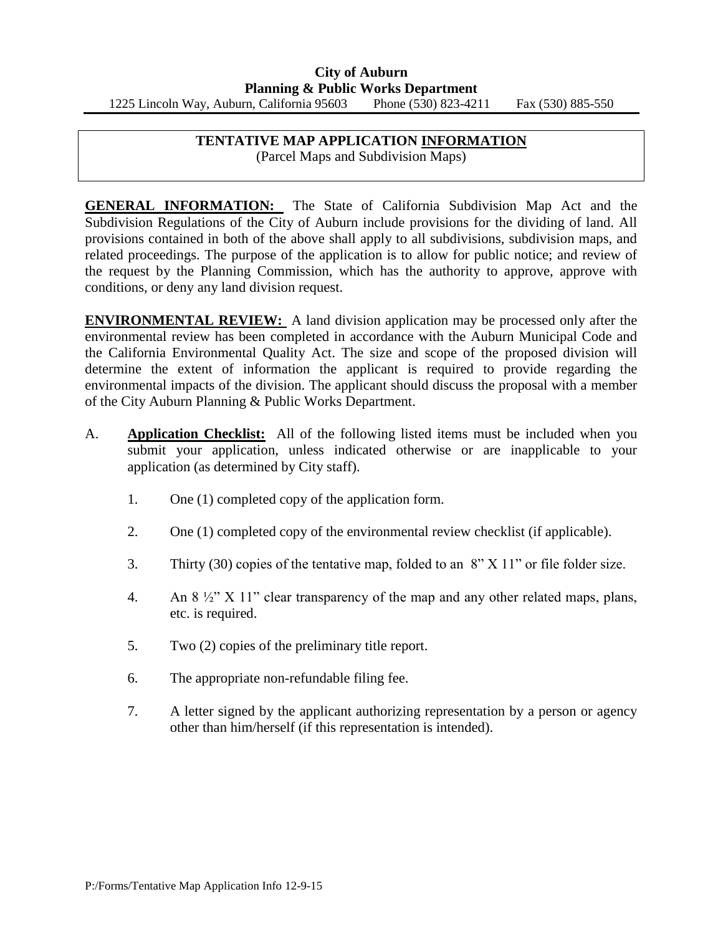## **TENTATIVE MAP APPLICATION INFORMATION**

(Parcel Maps and Subdivision Maps)

**GENERAL INFORMATION:** The State of California Subdivision Map Act and the Subdivision Regulations of the City of Auburn include provisions for the dividing of land. All provisions contained in both of the above shall apply to all subdivisions, subdivision maps, and related proceedings. The purpose of the application is to allow for public notice; and review of the request by the Planning Commission, which has the authority to approve, approve with conditions, or deny any land division request.

**ENVIRONMENTAL REVIEW:** A land division application may be processed only after the environmental review has been completed in accordance with the Auburn Municipal Code and the California Environmental Quality Act. The size and scope of the proposed division will determine the extent of information the applicant is required to provide regarding the environmental impacts of the division. The applicant should discuss the proposal with a member of the City Auburn Planning & Public Works Department.

- A. **Application Checklist:** All of the following listed items must be included when you submit your application, unless indicated otherwise or are inapplicable to your application (as determined by City staff).
	- 1. One (1) completed copy of the application form.
	- 2. One (1) completed copy of the environmental review checklist (if applicable).
	- 3. Thirty (30) copies of the tentative map, folded to an 8" X 11" or file folder size.
	- 4. An 8 ½" X 11" clear transparency of the map and any other related maps, plans, etc. is required.
	- 5. Two (2) copies of the preliminary title report.
	- 6. The appropriate non-refundable filing fee.
	- 7. A letter signed by the applicant authorizing representation by a person or agency other than him/herself (if this representation is intended).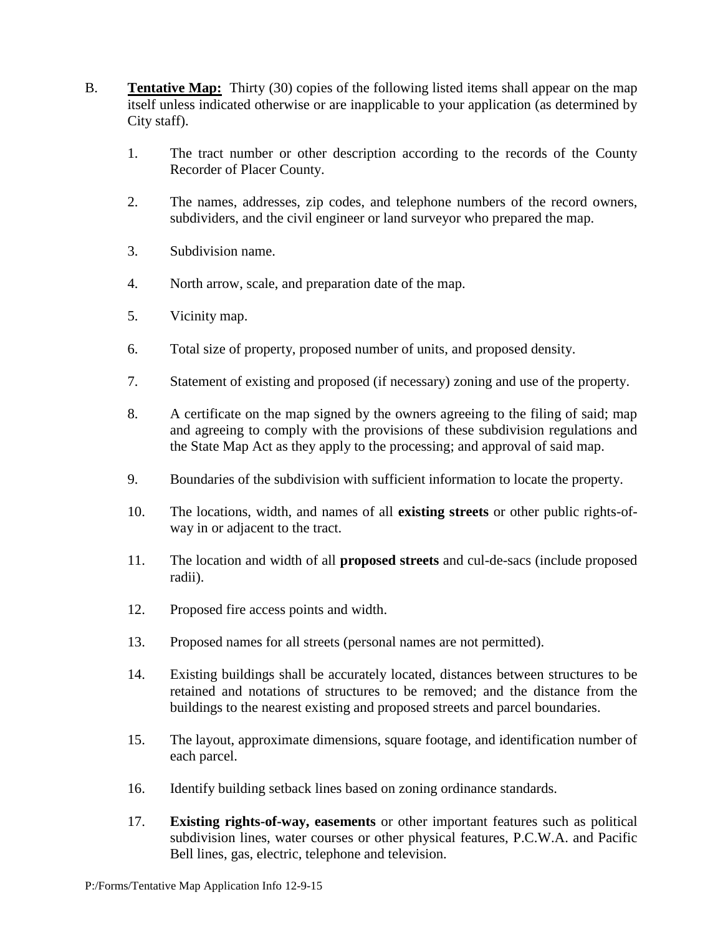- B. **Tentative Map:** Thirty (30) copies of the following listed items shall appear on the map itself unless indicated otherwise or are inapplicable to your application (as determined by City staff).
	- 1. The tract number or other description according to the records of the County Recorder of Placer County.
	- 2. The names, addresses, zip codes, and telephone numbers of the record owners, subdividers, and the civil engineer or land surveyor who prepared the map.
	- 3. Subdivision name.
	- 4. North arrow, scale, and preparation date of the map.
	- 5. Vicinity map.
	- 6. Total size of property, proposed number of units, and proposed density.
	- 7. Statement of existing and proposed (if necessary) zoning and use of the property.
	- 8. A certificate on the map signed by the owners agreeing to the filing of said; map and agreeing to comply with the provisions of these subdivision regulations and the State Map Act as they apply to the processing; and approval of said map.
	- 9. Boundaries of the subdivision with sufficient information to locate the property.
	- 10. The locations, width, and names of all **existing streets** or other public rights-ofway in or adjacent to the tract.
	- 11. The location and width of all **proposed streets** and cul-de-sacs (include proposed radii).
	- 12. Proposed fire access points and width.
	- 13. Proposed names for all streets (personal names are not permitted).
	- 14. Existing buildings shall be accurately located, distances between structures to be retained and notations of structures to be removed; and the distance from the buildings to the nearest existing and proposed streets and parcel boundaries.
	- 15. The layout, approximate dimensions, square footage, and identification number of each parcel.
	- 16. Identify building setback lines based on zoning ordinance standards.
	- 17. **Existing rights-of-way, easements** or other important features such as political subdivision lines, water courses or other physical features, P.C.W.A. and Pacific Bell lines, gas, electric, telephone and television.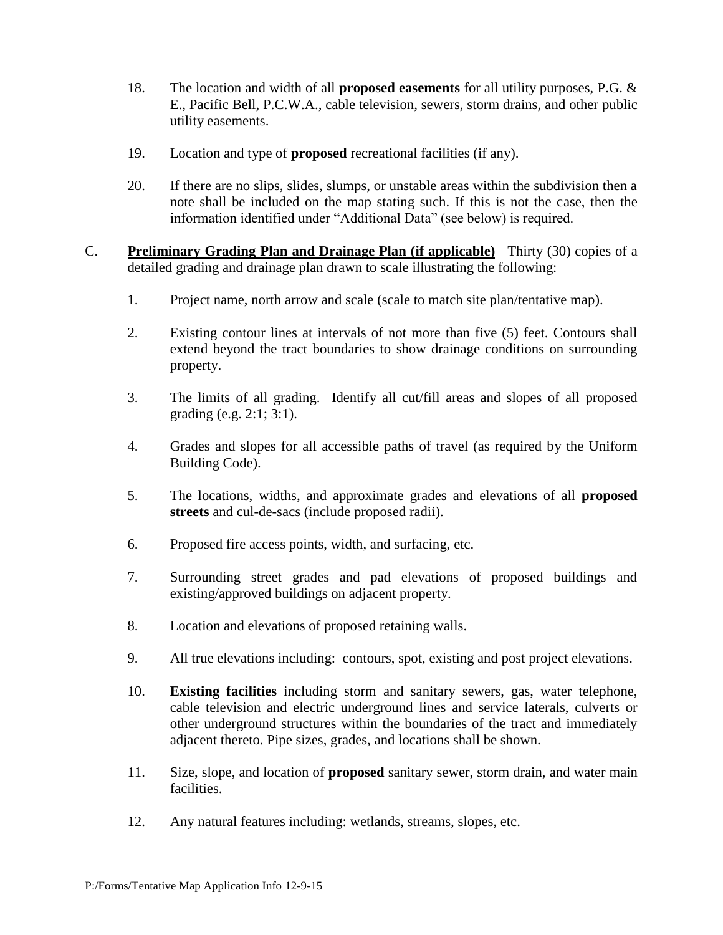- 18. The location and width of all **proposed easements** for all utility purposes, P.G. & E., Pacific Bell, P.C.W.A., cable television, sewers, storm drains, and other public utility easements.
- 19. Location and type of **proposed** recreational facilities (if any).
- 20. If there are no slips, slides, slumps, or unstable areas within the subdivision then a note shall be included on the map stating such. If this is not the case, then the information identified under "Additional Data" (see below) is required.
- C. **Preliminary Grading Plan and Drainage Plan (if applicable)** Thirty (30) copies of a detailed grading and drainage plan drawn to scale illustrating the following:
	- 1. Project name, north arrow and scale (scale to match site plan/tentative map).
	- 2. Existing contour lines at intervals of not more than five (5) feet. Contours shall extend beyond the tract boundaries to show drainage conditions on surrounding property.
	- 3. The limits of all grading. Identify all cut/fill areas and slopes of all proposed grading (e.g. 2:1; 3:1).
	- 4. Grades and slopes for all accessible paths of travel (as required by the Uniform Building Code).
	- 5. The locations, widths, and approximate grades and elevations of all **proposed streets** and cul-de-sacs (include proposed radii).
	- 6. Proposed fire access points, width, and surfacing, etc.
	- 7. Surrounding street grades and pad elevations of proposed buildings and existing/approved buildings on adjacent property.
	- 8. Location and elevations of proposed retaining walls.
	- 9. All true elevations including: contours, spot, existing and post project elevations.
	- 10. **Existing facilities** including storm and sanitary sewers, gas, water telephone, cable television and electric underground lines and service laterals, culverts or other underground structures within the boundaries of the tract and immediately adjacent thereto. Pipe sizes, grades, and locations shall be shown.
	- 11. Size, slope, and location of **proposed** sanitary sewer, storm drain, and water main facilities.
	- 12. Any natural features including: wetlands, streams, slopes, etc.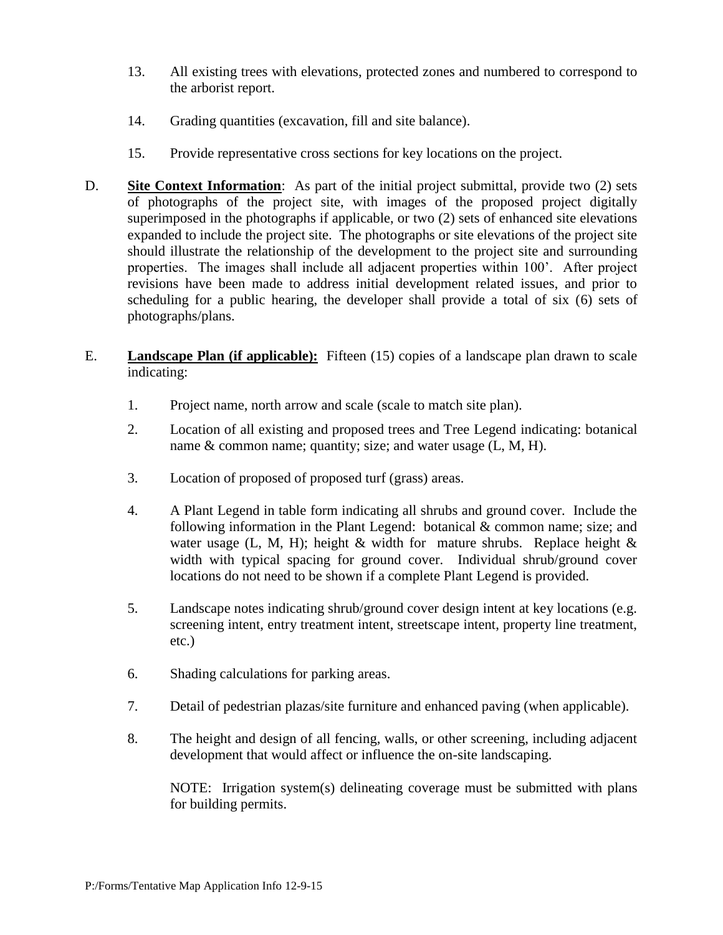- 13. All existing trees with elevations, protected zones and numbered to correspond to the arborist report.
- 14. Grading quantities (excavation, fill and site balance).
- 15. Provide representative cross sections for key locations on the project.
- D. **Site Context Information**: As part of the initial project submittal, provide two (2) sets of photographs of the project site, with images of the proposed project digitally superimposed in the photographs if applicable, or two (2) sets of enhanced site elevations expanded to include the project site. The photographs or site elevations of the project site should illustrate the relationship of the development to the project site and surrounding properties. The images shall include all adjacent properties within 100'. After project revisions have been made to address initial development related issues, and prior to scheduling for a public hearing, the developer shall provide a total of six (6) sets of photographs/plans.
- E. **Landscape Plan (if applicable):** Fifteen (15) copies of a landscape plan drawn to scale indicating:
	- 1. Project name, north arrow and scale (scale to match site plan).
	- 2. Location of all existing and proposed trees and Tree Legend indicating: botanical name & common name; quantity; size; and water usage (L, M, H).
	- 3. Location of proposed of proposed turf (grass) areas.
	- 4. A Plant Legend in table form indicating all shrubs and ground cover. Include the following information in the Plant Legend: botanical & common name; size; and water usage (L, M, H); height  $\&$  width for mature shrubs. Replace height  $\&$ width with typical spacing for ground cover. Individual shrub/ground cover locations do not need to be shown if a complete Plant Legend is provided.
	- 5. Landscape notes indicating shrub/ground cover design intent at key locations (e.g. screening intent, entry treatment intent, streetscape intent, property line treatment, etc.)
	- 6. Shading calculations for parking areas.
	- 7. Detail of pedestrian plazas/site furniture and enhanced paving (when applicable).
	- 8. The height and design of all fencing, walls, or other screening, including adjacent development that would affect or influence the on-site landscaping.

NOTE: Irrigation system(s) delineating coverage must be submitted with plans for building permits.